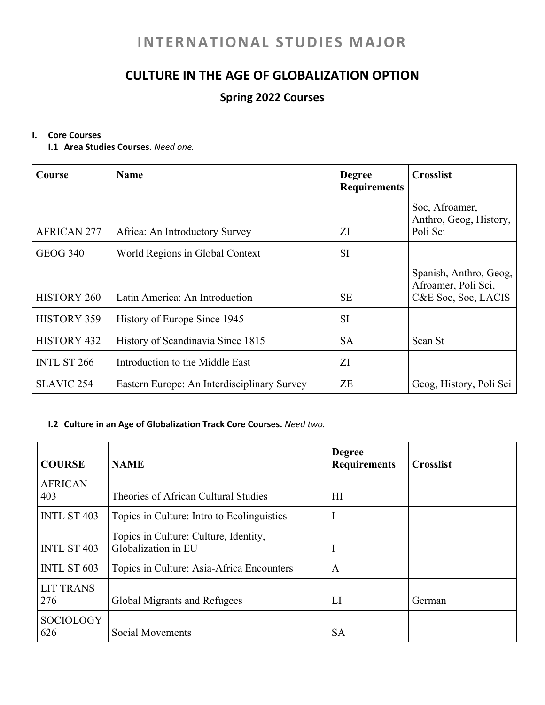# **INTERNATIONAL STUDIES MAJOR**

## **CULTURE IN THE AGE OF GLOBALIZATION OPTION**

### **Spring 2022 Courses**

#### **I. Core Courses**

**I.1 Area Studies Courses.** *Need one.*

| Course             | <b>Name</b>                                 | <b>Degree</b><br><b>Requirements</b> | <b>Crosslist</b>                                                     |
|--------------------|---------------------------------------------|--------------------------------------|----------------------------------------------------------------------|
| <b>AFRICAN 277</b> | Africa: An Introductory Survey              | ΖI                                   | Soc, Afroamer,<br>Anthro, Geog, History,<br>Poli Sci                 |
| <b>GEOG 340</b>    | World Regions in Global Context             | <b>SI</b>                            |                                                                      |
| <b>HISTORY 260</b> | Latin America: An Introduction              | <b>SE</b>                            | Spanish, Anthro, Geog,<br>Afroamer, Poli Sci,<br>C&E Soc, Soc, LACIS |
| <b>HISTORY 359</b> | History of Europe Since 1945                | <b>SI</b>                            |                                                                      |
| HISTORY 432        | History of Scandinavia Since 1815           | <b>SA</b>                            | Scan St                                                              |
| <b>INTL ST 266</b> | Introduction to the Middle East             | ΖI                                   |                                                                      |
| <b>SLAVIC 254</b>  | Eastern Europe: An Interdisciplinary Survey | ZE                                   | Geog, History, Poli Sci                                              |

#### **I.2 Culture in an Age of Globalization Track Core Courses.** *Need two.*

| <b>COURSE</b>           | <b>NAME</b>                                                  | <b>Degree</b><br><b>Requirements</b> | <b>Crosslist</b> |
|-------------------------|--------------------------------------------------------------|--------------------------------------|------------------|
| <b>AFRICAN</b><br>403   | Theories of African Cultural Studies                         | HI                                   |                  |
| <b>INTL ST 403</b>      | Topics in Culture: Intro to Ecolinguistics                   |                                      |                  |
| <b>INTL ST 403</b>      | Topics in Culture: Culture, Identity,<br>Globalization in EU |                                      |                  |
| <b>INTL ST 603</b>      | Topics in Culture: Asia-Africa Encounters                    | A                                    |                  |
| <b>LIT TRANS</b><br>276 | Global Migrants and Refugees                                 | LI                                   | German           |
| <b>SOCIOLOGY</b><br>626 | Social Movements                                             | <b>SA</b>                            |                  |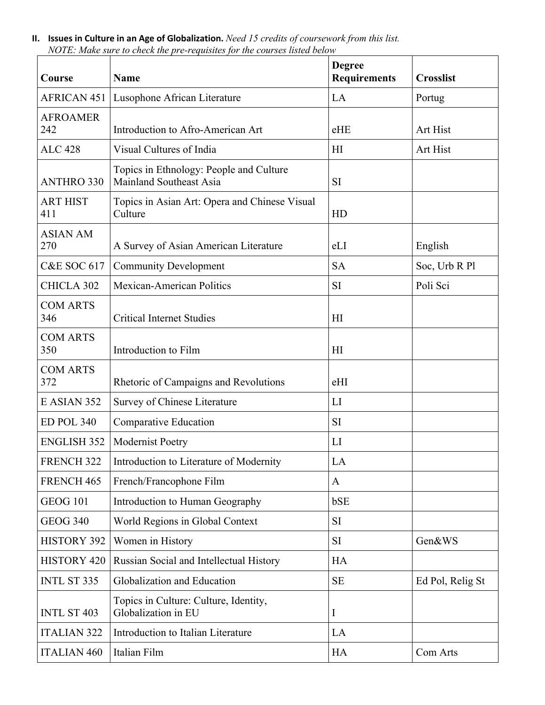| Course                 | <b>Name</b>                                                        | <b>Degree</b><br><b>Requirements</b> | <b>Crosslist</b> |
|------------------------|--------------------------------------------------------------------|--------------------------------------|------------------|
|                        | <b>AFRICAN 451   Lusophone African Literature</b>                  | LA                                   | Portug           |
| <b>AFROAMER</b><br>242 | Introduction to Afro-American Art                                  | eHE                                  | Art Hist         |
| <b>ALC 428</b>         | Visual Cultures of India                                           | H <sub>I</sub>                       | Art Hist         |
| <b>ANTHRO 330</b>      | Topics in Ethnology: People and Culture<br>Mainland Southeast Asia | <b>SI</b>                            |                  |
| <b>ART HIST</b><br>411 | Topics in Asian Art: Opera and Chinese Visual<br>Culture           | HD                                   |                  |
| <b>ASIAN AM</b><br>270 | A Survey of Asian American Literature                              | eLI                                  | English          |
| <b>C&amp;E SOC 617</b> | <b>Community Development</b>                                       | <b>SA</b>                            | Soc, Urb R Pl    |
| <b>CHICLA 302</b>      | <b>Mexican-American Politics</b>                                   | SI                                   | Poli Sci         |
| <b>COM ARTS</b><br>346 | <b>Critical Internet Studies</b>                                   | H <sub>I</sub>                       |                  |
| <b>COM ARTS</b><br>350 | Introduction to Film                                               | H <sub>I</sub>                       |                  |
| <b>COM ARTS</b><br>372 | Rhetoric of Campaigns and Revolutions                              | eHI                                  |                  |
| E ASIAN 352            | Survey of Chinese Literature                                       | LI                                   |                  |
| ED POL 340             | Comparative Education                                              | <b>SI</b>                            |                  |
| <b>ENGLISH 352</b>     | Modernist Poetry                                                   | LI                                   |                  |
| FRENCH <sub>322</sub>  | Introduction to Literature of Modernity                            | LA                                   |                  |
| FRENCH 465             | French/Francophone Film                                            | A                                    |                  |
| <b>GEOG 101</b>        | Introduction to Human Geography                                    | bSE                                  |                  |
| <b>GEOG 340</b>        | World Regions in Global Context                                    | SI                                   |                  |
| <b>HISTORY 392</b>     | Women in History                                                   | SI                                   | Gen&WS           |
| <b>HISTORY 420</b>     | Russian Social and Intellectual History                            | HA                                   |                  |
| <b>INTL ST 335</b>     | Globalization and Education                                        | <b>SE</b>                            | Ed Pol, Relig St |
| <b>INTL ST 403</b>     | Topics in Culture: Culture, Identity,<br>Globalization in EU       | I                                    |                  |
| <b>ITALIAN 322</b>     | Introduction to Italian Literature                                 | LA                                   |                  |
| <b>ITALIAN 460</b>     | Italian Film                                                       | HA                                   | Com Arts         |

**II. Issues in Culture in an Age of Globalization.** *Need 15 credits of coursework from this list. NOTE: Make sure to check the pre-requisites for the courses listed below*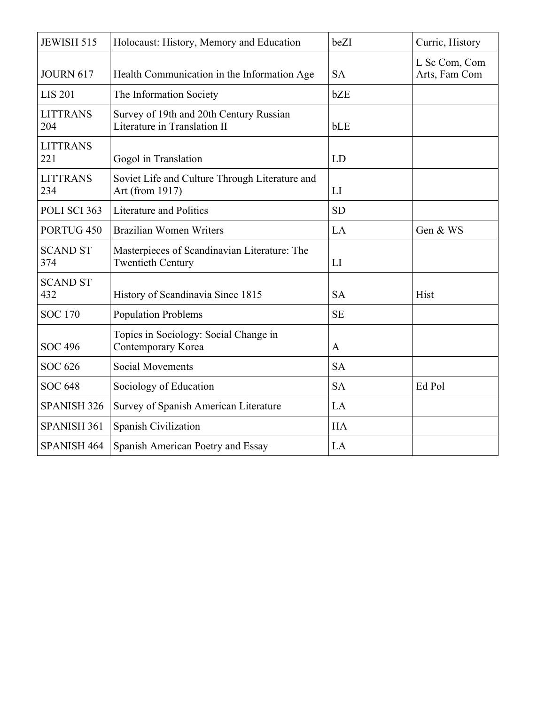| <b>JEWISH 515</b>      | Holocaust: History, Memory and Education                                 | beZI         | Curric, History                |
|------------------------|--------------------------------------------------------------------------|--------------|--------------------------------|
| <b>JOURN 617</b>       | Health Communication in the Information Age                              | <b>SA</b>    | L Sc Com, Com<br>Arts, Fam Com |
| <b>LIS 201</b>         | The Information Society                                                  | bZE          |                                |
| <b>LITTRANS</b><br>204 | Survey of 19th and 20th Century Russian<br>Literature in Translation II  | bLE          |                                |
| <b>LITTRANS</b><br>221 | Gogol in Translation                                                     | LD           |                                |
| <b>LITTRANS</b><br>234 | Soviet Life and Culture Through Literature and<br>Art (from 1917)        | LI           |                                |
| POLI SCI 363           | <b>Literature and Politics</b>                                           | <b>SD</b>    |                                |
| PORTUG <sub>450</sub>  | <b>Brazilian Women Writers</b>                                           | LA           | Gen & WS                       |
| <b>SCAND ST</b><br>374 | Masterpieces of Scandinavian Literature: The<br><b>Twentieth Century</b> | LI           |                                |
| <b>SCAND ST</b><br>432 | History of Scandinavia Since 1815                                        | <b>SA</b>    | Hist                           |
| <b>SOC 170</b>         | <b>Population Problems</b>                                               | <b>SE</b>    |                                |
| <b>SOC 496</b>         | Topics in Sociology: Social Change in<br>Contemporary Korea              | $\mathbf{A}$ |                                |
| <b>SOC 626</b>         | <b>Social Movements</b>                                                  | <b>SA</b>    |                                |
| <b>SOC 648</b>         | Sociology of Education                                                   | <b>SA</b>    | Ed Pol                         |
| <b>SPANISH 326</b>     | Survey of Spanish American Literature                                    | LA           |                                |
| SPANISH 361            | Spanish Civilization                                                     | <b>HA</b>    |                                |
| SPANISH 464            | Spanish American Poetry and Essay                                        | LA           |                                |